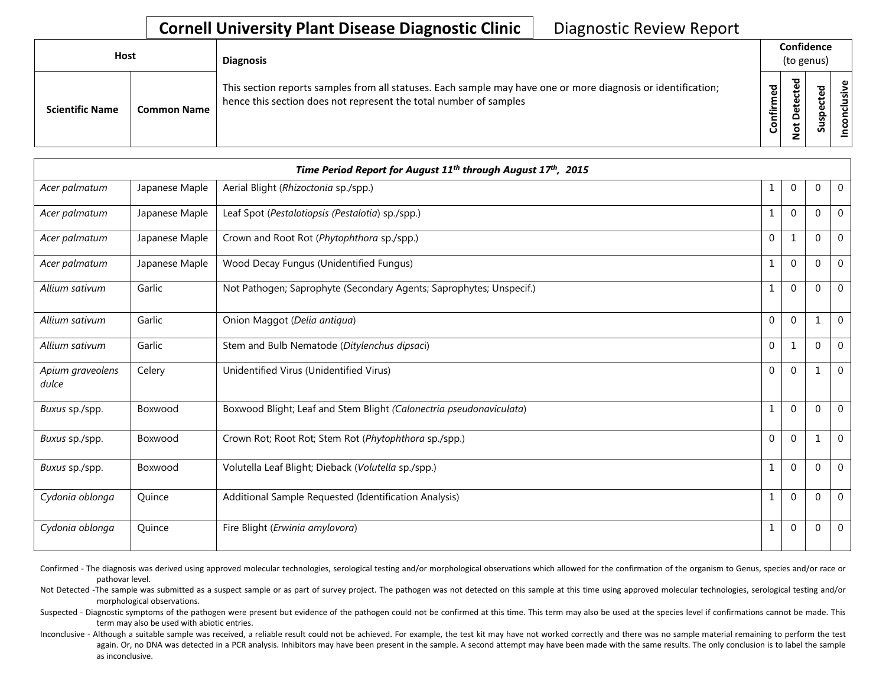## **Cornell University Plant Disease Diagnostic Clinic** | Diagnostic Review Report

| <b>Host</b>            |                    | <b>Diagnosis</b>                                                                                                                                                                   |                   | Confidence<br>(to genus) |                              |  |
|------------------------|--------------------|------------------------------------------------------------------------------------------------------------------------------------------------------------------------------------|-------------------|--------------------------|------------------------------|--|
| <b>Scientific Name</b> | <b>Common Name</b> | This section reports samples from all statuses. Each sample may have one or more diagnosis or identification;<br>hence this section does not represent the total number of samples | ਠ<br>⊄<br>$\circ$ | ┲                        | ω<br>ω<br>௨<br><b>S</b><br>n |  |

|                           |                | Time Period Report for August 11 <sup>th</sup> through August 17 <sup>th</sup> , 2015 |              |              |          |                |
|---------------------------|----------------|---------------------------------------------------------------------------------------|--------------|--------------|----------|----------------|
| Acer palmatum             | Japanese Maple | Aerial Blight (Rhizoctonia sp./spp.)                                                  | 1            | $\Omega$     | $\Omega$ | $\mathbf 0$    |
| Acer palmatum             | Japanese Maple | Leaf Spot (Pestalotiopsis (Pestalotia) sp./spp.)                                      | 1            | $\Omega$     | $\Omega$ | $\mathbf 0$    |
| Acer palmatum             | Japanese Maple | Crown and Root Rot (Phytophthora sp./spp.)                                            | $\Omega$     | $\mathbf{1}$ | $\Omega$ | $\mathbf{0}$   |
| Acer palmatum             | Japanese Maple | Wood Decay Fungus (Unidentified Fungus)                                               | $\mathbf 1$  | $\Omega$     | $\Omega$ | $\overline{0}$ |
| Allium sativum            | Garlic         | Not Pathogen; Saprophyte (Secondary Agents; Saprophytes; Unspecif.)                   | $\mathbf{1}$ | $\Omega$     | $\Omega$ | $\mathbf 0$    |
| Allium sativum            | Garlic         | Onion Maggot (Delia antiqua)                                                          | $\mathbf 0$  | $\Omega$     | 1        | $\mathbf 0$    |
| Allium sativum            | Garlic         | Stem and Bulb Nematode (Ditylenchus dipsaci)                                          | $\Omega$     | 1            | $\Omega$ | $\overline{0}$ |
| Apium graveolens<br>dulce | Celery         | Unidentified Virus (Unidentified Virus)                                               | $\Omega$     | $\Omega$     | 1        | $\Omega$       |
| Buxus sp./spp.            | Boxwood        | Boxwood Blight; Leaf and Stem Blight (Calonectria pseudonaviculata)                   | $\mathbf{1}$ | $\Omega$     | $\Omega$ | $\overline{0}$ |
| Buxus sp./spp.            | Boxwood        | Crown Rot; Root Rot; Stem Rot (Phytophthora sp./spp.)                                 | $\Omega$     | $\Omega$     | 1        | $\overline{0}$ |
| Buxus sp./spp.            | Boxwood        | Volutella Leaf Blight; Dieback (Volutella sp./spp.)                                   | $\mathbf 1$  | $\Omega$     | $\Omega$ | $\Omega$       |
| Cydonia oblonga           | Quince         | Additional Sample Requested (Identification Analysis)                                 | 1            | $\mathbf 0$  | $\Omega$ | $\mathbf 0$    |
| Cydonia oblonga           | Quince         | Fire Blight (Erwinia amylovora)                                                       | 1            | $\mathbf 0$  | $\Omega$ | $\mathbf 0$    |

Confirmed - The diagnosis was derived using approved molecular technologies, serological testing and/or morphological observations which allowed for the confirmation of the organism to Genus, species and/or race or pathovar level.

Not Detected -The sample was submitted as a suspect sample or as part of survey project. The pathogen was not detected on this sample at this time using approved molecular technologies, serological testing and/or morphological observations.

Suspected - Diagnostic symptoms of the pathogen were present but evidence of the pathogen could not be confirmed at this time. This term may also be used at the species level if confirmations cannot be made. This term may also be used with abiotic entries.

Inconclusive - Although a suitable sample was received, a reliable result could not be achieved. For example, the test kit may have not worked correctly and there was no sample material remaining to perform the test again. Or, no DNA was detected in a PCR analysis. Inhibitors may have been present in the sample. A second attempt may have been made with the same results. The only conclusion is to label the sample as inconclusive.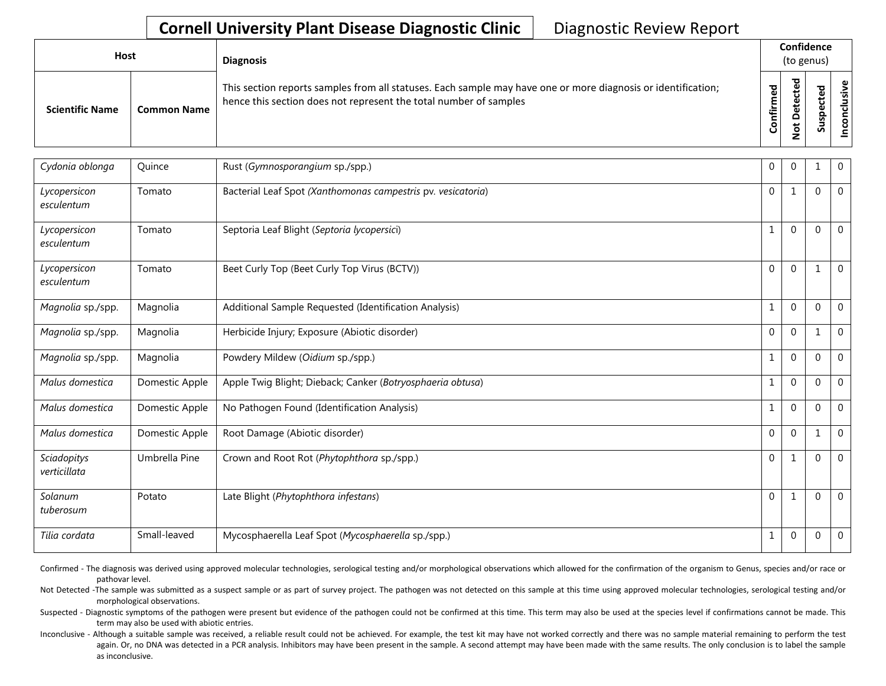## **Cornell University Plant Disease Diagnostic Clinic** | Diagnostic Review Report

| Host                   |                    | <b>Diagnosis</b>                                                                                                                                                                   |                            |                        |   | Confidence<br>(to genus) |  |  |
|------------------------|--------------------|------------------------------------------------------------------------------------------------------------------------------------------------------------------------------------|----------------------------|------------------------|---|--------------------------|--|--|
| <b>Scientific Name</b> | <b>Common Name</b> | This section reports samples from all statuses. Each sample may have one or more diagnosis or identification;<br>hence this section does not represent the total number of samples | ਠ<br>Φ<br>nfirm<br>$\circ$ | ಕ<br>ω<br>ىد<br>۵<br>ى | Ū | ്ധി<br>ທ                 |  |  |

| Cydonia oblonga             | Quince         | Rust (Gymnosporangium sp./spp.)                              | $\mathbf 0$ | $\Omega$     | 1           | $\mathbf 0$  |
|-----------------------------|----------------|--------------------------------------------------------------|-------------|--------------|-------------|--------------|
| Lycopersicon<br>esculentum  | Tomato         | Bacterial Leaf Spot (Xanthomonas campestris pv. vesicatoria) | $\mathbf 0$ | 1            | 0           | $\mathbf{0}$ |
| Lycopersicon<br>esculentum  | Tomato         | Septoria Leaf Blight (Septoria lycopersici)                  |             | $\Omega$     | $\mathbf 0$ | $\mathbf{0}$ |
| Lycopersicon<br>esculentum  | Tomato         | Beet Curly Top (Beet Curly Top Virus (BCTV))                 | $\Omega$    | $\Omega$     |             | $\mathbf 0$  |
| Magnolia sp./spp.           | Magnolia       | Additional Sample Requested (Identification Analysis)        |             | $\Omega$     | $\Omega$    | $\mathbf 0$  |
| Magnolia sp./spp.           | Magnolia       | Herbicide Injury; Exposure (Abiotic disorder)                | $\Omega$    | $\Omega$     | 1           | $\mathbf{0}$ |
| Magnolia sp./spp.           | Magnolia       | Powdery Mildew (Oidium sp./spp.)                             |             | $\Omega$     | $\Omega$    | $\mathbf 0$  |
| Malus domestica             | Domestic Apple | Apple Twiq Blight; Dieback; Canker (Botryosphaeria obtusa)   | 1           | $\Omega$     | $\Omega$    | $\mathbf 0$  |
| Malus domestica             | Domestic Apple | No Pathogen Found (Identification Analysis)                  | 1           | $\Omega$     | $\Omega$    | $\mathbf 0$  |
| Malus domestica             | Domestic Apple | Root Damage (Abiotic disorder)                               | $\Omega$    | $\Omega$     |             | $\mathbf 0$  |
| Sciadopitys<br>verticillata | Umbrella Pine  | Crown and Root Rot (Phytophthora sp./spp.)                   | $\Omega$    | 1            | $\Omega$    | $\Omega$     |
| Solanum<br>tuberosum        | Potato         | Late Blight (Phytophthora infestans)                         | $\Omega$    | $\mathbf{1}$ | $\Omega$    | $\Omega$     |
| Tilia cordata               | Small-leaved   | Mycosphaerella Leaf Spot (Mycosphaerella sp./spp.)           |             | $\Omega$     | $\mathbf 0$ | $\mathbf 0$  |

Confirmed - The diagnosis was derived using approved molecular technologies, serological testing and/or morphological observations which allowed for the confirmation of the organism to Genus, species and/or race or pathovar level.

Not Detected -The sample was submitted as a suspect sample or as part of survey project. The pathogen was not detected on this sample at this time using approved molecular technologies, serological testing and/or morphological observations.

Suspected - Diagnostic symptoms of the pathogen were present but evidence of the pathogen could not be confirmed at this time. This term may also be used at the species level if confirmations cannot be made. This term may also be used with abiotic entries.

Inconclusive - Although a suitable sample was received, a reliable result could not be achieved. For example, the test kit may have not worked correctly and there was no sample material remaining to perform the test again. Or, no DNA was detected in a PCR analysis. Inhibitors may have been present in the sample. A second attempt may have been made with the same results. The only conclusion is to label the sample as inconclusive.